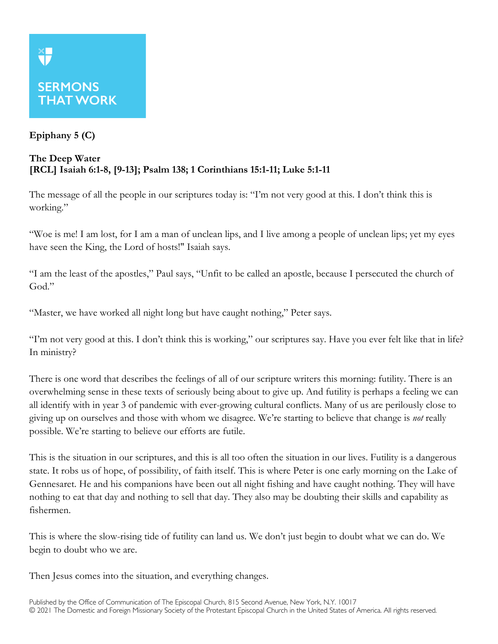## **Epiphany 5 (C)**

## **The Deep Water [RCL] Isaiah 6:1-8, [9-13]; Psalm 138; 1 Corinthians 15:1-11; Luke 5:1-11**

The message of all the people in our scriptures today is: "I'm not very good at this. I don't think this is working."

"Woe is me! I am lost, for I am a man of unclean lips, and I live among a people of unclean lips; yet my eyes have seen the King, the Lord of hosts!" Isaiah says.

"I am the least of the apostles," Paul says, "Unfit to be called an apostle, because I persecuted the church of God."

"Master, we have worked all night long but have caught nothing," Peter says.

"I'm not very good at this. I don't think this is working," our scriptures say. Have you ever felt like that in life? In ministry?

There is one word that describes the feelings of all of our scripture writers this morning: futility. There is an overwhelming sense in these texts of seriously being about to give up. And futility is perhaps a feeling we can all identify with in year 3 of pandemic with ever-growing cultural conflicts. Many of us are perilously close to giving up on ourselves and those with whom we disagree. We're starting to believe that change is *not* really possible. We're starting to believe our efforts are futile.

This is the situation in our scriptures, and this is all too often the situation in our lives. Futility is a dangerous state. It robs us of hope, of possibility, of faith itself. This is where Peter is one early morning on the Lake of Gennesaret. He and his companions have been out all night fishing and have caught nothing. They will have nothing to eat that day and nothing to sell that day. They also may be doubting their skills and capability as fishermen.

This is where the slow-rising tide of futility can land us. We don't just begin to doubt what we can do. We begin to doubt who we are.

Then Jesus comes into the situation, and everything changes.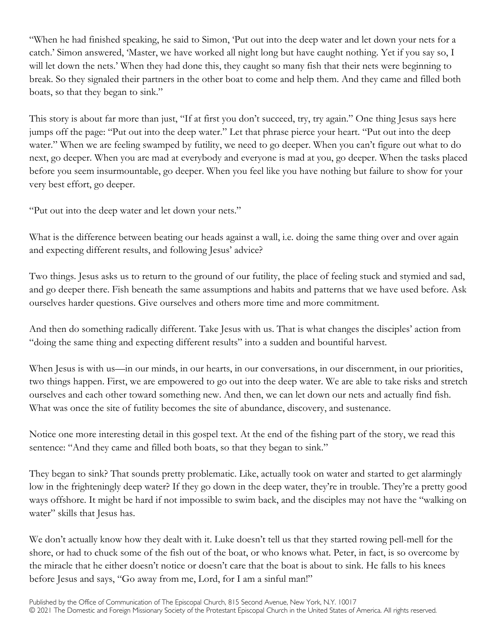"When he had finished speaking, he said to Simon, 'Put out into the deep water and let down your nets for a catch.' Simon answered, 'Master, we have worked all night long but have caught nothing. Yet if you say so, I will let down the nets.' When they had done this, they caught so many fish that their nets were beginning to break. So they signaled their partners in the other boat to come and help them. And they came and filled both boats, so that they began to sink."

This story is about far more than just, "If at first you don't succeed, try, try again." One thing Jesus says here jumps off the page: "Put out into the deep water." Let that phrase pierce your heart. "Put out into the deep water." When we are feeling swamped by futility, we need to go deeper. When you can't figure out what to do next, go deeper. When you are mad at everybody and everyone is mad at you, go deeper. When the tasks placed before you seem insurmountable, go deeper. When you feel like you have nothing but failure to show for your very best effort, go deeper.

"Put out into the deep water and let down your nets."

What is the difference between beating our heads against a wall, i.e. doing the same thing over and over again and expecting different results, and following Jesus' advice?

Two things. Jesus asks us to return to the ground of our futility, the place of feeling stuck and stymied and sad, and go deeper there. Fish beneath the same assumptions and habits and patterns that we have used before. Ask ourselves harder questions. Give ourselves and others more time and more commitment.

And then do something radically different. Take Jesus with us. That is what changes the disciples' action from "doing the same thing and expecting different results" into a sudden and bountiful harvest.

When Jesus is with us—in our minds, in our hearts, in our conversations, in our discernment, in our priorities, two things happen. First, we are empowered to go out into the deep water. We are able to take risks and stretch ourselves and each other toward something new. And then, we can let down our nets and actually find fish. What was once the site of futility becomes the site of abundance, discovery, and sustenance.

Notice one more interesting detail in this gospel text. At the end of the fishing part of the story, we read this sentence: "And they came and filled both boats, so that they began to sink."

They began to sink? That sounds pretty problematic. Like, actually took on water and started to get alarmingly low in the frighteningly deep water? If they go down in the deep water, they're in trouble. They're a pretty good ways offshore. It might be hard if not impossible to swim back, and the disciples may not have the "walking on water" skills that Jesus has.

We don't actually know how they dealt with it. Luke doesn't tell us that they started rowing pell-mell for the shore, or had to chuck some of the fish out of the boat, or who knows what. Peter, in fact, is so overcome by the miracle that he either doesn't notice or doesn't care that the boat is about to sink. He falls to his knees before Jesus and says, "Go away from me, Lord, for I am a sinful man!"